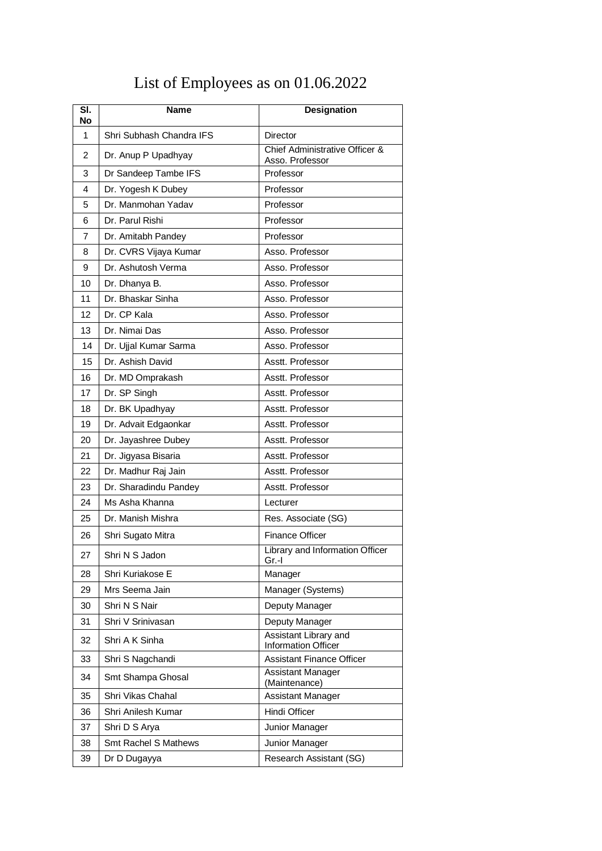## List of Employees as on 01.06.2022

| SI.<br><b>No</b> | <b>Name</b>              | Designation                                         |
|------------------|--------------------------|-----------------------------------------------------|
| $\mathbf{1}$     | Shri Subhash Chandra IFS | Director                                            |
| $\overline{2}$   | Dr. Anup P Upadhyay      | Chief Administrative Officer &<br>Asso. Professor   |
| 3                | Dr Sandeep Tambe IFS     | Professor                                           |
| 4                | Dr. Yogesh K Dubey       | Professor                                           |
| 5                | Dr. Manmohan Yadav       | Professor                                           |
| 6                | Dr. Parul Rishi          | Professor                                           |
| 7                | Dr. Amitabh Pandey       | Professor                                           |
| 8                | Dr. CVRS Vijaya Kumar    | Asso, Professor                                     |
| 9                | Dr. Ashutosh Verma       | Asso. Professor                                     |
| 10               | Dr. Dhanya B.            | Asso. Professor                                     |
| 11               | Dr. Bhaskar Sinha        | Asso, Professor                                     |
| 12               | Dr. CP Kala              | Asso. Professor                                     |
| 13               | Dr. Nimai Das            | Asso, Professor                                     |
| 14               | Dr. Ujjal Kumar Sarma    | Asso, Professor                                     |
| 15               | Dr. Ashish David         | Asstt. Professor                                    |
| 16               | Dr. MD Omprakash         | Asstt. Professor                                    |
| 17               | Dr. SP Singh             | Asstt. Professor                                    |
| 18               | Dr. BK Upadhyay          | Asstt. Professor                                    |
| 19               | Dr. Advait Edgaonkar     | Asstt. Professor                                    |
| 20               | Dr. Jayashree Dubey      | Asstt. Professor                                    |
| 21               | Dr. Jigyasa Bisaria      | Asstt. Professor                                    |
| 22               | Dr. Madhur Raj Jain      | Asstt. Professor                                    |
| 23               | Dr. Sharadindu Pandey    | Asstt. Professor                                    |
| 24               | Ms Asha Khanna           | Lecturer                                            |
| 25               | Dr. Manish Mishra        | Res. Associate (SG)                                 |
| 26               | Shri Sugato Mitra        | <b>Finance Officer</b>                              |
| 27               | Shri N S Jadon           | Library and Information Officer<br>$Gr.-I$          |
| 28               | Shri Kuriakose E         | Manager                                             |
| 29               | Mrs Seema Jain           | Manager (Systems)                                   |
| 30               | Shri N S Nair            | Deputy Manager                                      |
| 31               | Shri V Srinivasan        | Deputy Manager                                      |
| 32               | Shri A K Sinha           | Assistant Library and<br><b>Information Officer</b> |
| 33               | Shri S Nagchandi         | <b>Assistant Finance Officer</b>                    |
| 34               | Smt Shampa Ghosal        | Assistant Manager<br>(Maintenance)                  |
| 35               | Shri Vikas Chahal        | <b>Assistant Manager</b>                            |
| 36               | Shri Anilesh Kumar       | Hindi Officer                                       |
| 37               | Shri D S Arya            | Junior Manager                                      |
| 38               | Smt Rachel S Mathews     | Junior Manager                                      |
| 39               | Dr D Dugayya             | Research Assistant (SG)                             |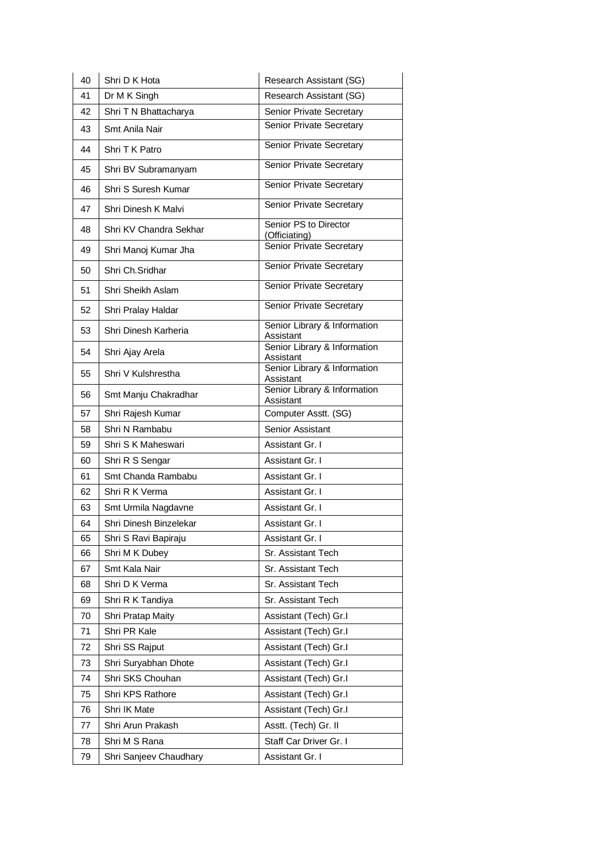| 40 | Shri D K Hota          | Research Assistant (SG)                   |
|----|------------------------|-------------------------------------------|
| 41 | Dr M K Singh           | Research Assistant (SG)                   |
| 42 | Shri T N Bhattacharya  | Senior Private Secretary                  |
| 43 | Smt Anila Nair         | Senior Private Secretary                  |
| 44 | Shri T K Patro         | Senior Private Secretary                  |
| 45 | Shri BV Subramanyam    | Senior Private Secretary                  |
| 46 | Shri S Suresh Kumar    | Senior Private Secretary                  |
| 47 | Shri Dinesh K Malvi    | Senior Private Secretary                  |
| 48 | Shri KV Chandra Sekhar | Senior PS to Director<br>(Officiating)    |
| 49 | Shri Manoj Kumar Jha   | Senior Private Secretary                  |
| 50 | Shri Ch.Sridhar        | Senior Private Secretary                  |
| 51 | Shri Sheikh Aslam      | Senior Private Secretary                  |
| 52 | Shri Pralay Haldar     | Senior Private Secretary                  |
| 53 | Shri Dinesh Karheria   | Senior Library & Information<br>Assistant |
| 54 | Shri Ajay Arela        | Senior Library & Information<br>Assistant |
| 55 | Shri V Kulshrestha     | Senior Library & Information<br>Assistant |
| 56 | Smt Manju Chakradhar   | Senior Library & Information<br>Assistant |
| 57 | Shri Rajesh Kumar      | Computer Asstt. (SG)                      |
| 58 | Shri N Rambabu         | Senior Assistant                          |
| 59 | Shri S K Maheswari     | Assistant Gr. I                           |
| 60 | Shri R S Sengar        | Assistant Gr. I                           |
| 61 | Smt Chanda Rambabu     | Assistant Gr. I                           |
| 62 | Shri R K Verma         | Assistant Gr. I                           |
| 63 | Smt Urmila Nagdavne    | Assistant Gr. I                           |
| 64 | Shri Dinesh Binzelekar | Assistant Gr. I                           |
| 65 | Shri S Ravi Bapiraju   | Assistant Gr. I                           |
| 66 | Shri M K Dubey         | Sr. Assistant Tech                        |
| 67 | Smt Kala Nair          | Sr. Assistant Tech                        |
| 68 | Shri D K Verma         | Sr. Assistant Tech                        |
| 69 | Shri R K Tandiya       | Sr. Assistant Tech                        |
| 70 | Shri Pratap Maity      | Assistant (Tech) Gr.I                     |
| 71 | Shri PR Kale           | Assistant (Tech) Gr.I                     |
| 72 | Shri SS Rajput         | Assistant (Tech) Gr.I                     |
| 73 | Shri Suryabhan Dhote   | Assistant (Tech) Gr.I                     |
| 74 | Shri SKS Chouhan       | Assistant (Tech) Gr.I                     |
| 75 | Shri KPS Rathore       | Assistant (Tech) Gr.I                     |
| 76 | Shri IK Mate           | Assistant (Tech) Gr.I                     |
| 77 | Shri Arun Prakash      | Asstt. (Tech) Gr. II                      |
| 78 | Shri M S Rana          | Staff Car Driver Gr. I                    |
| 79 | Shri Sanjeev Chaudhary | Assistant Gr. I                           |